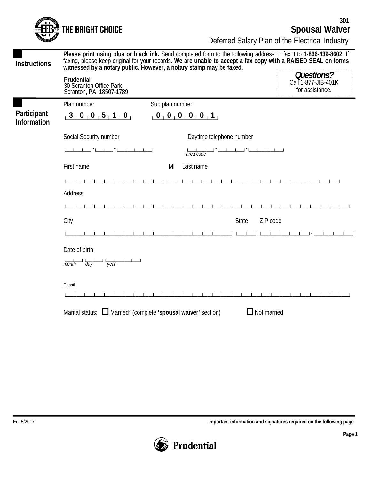Deferred Salary Plan of the Electrical Industry **Spousal Waiver 301**

|                                   | Deferred Salary Pian of the Electrical Industry                                                                                                                                                                                                                                                            |                          |                                                      |
|-----------------------------------|------------------------------------------------------------------------------------------------------------------------------------------------------------------------------------------------------------------------------------------------------------------------------------------------------------|--------------------------|------------------------------------------------------|
| <b>Instructions</b>               | Please print using blue or black ink. Send completed form to the following address or fax it to 1-866-439-8602. If<br>faxing, please keep original for your records. We are unable to accept a fax copy with a RAISED SEAL on forms<br>witnessed by a notary public. However, a notary stamp may be faxed. |                          |                                                      |
|                                   | Prudential<br>30 Scranton Office Park<br>Scranton, PA 18507-1789                                                                                                                                                                                                                                           |                          | Questions?<br>Call 1-877-JIB-401K<br>for assistance. |
|                                   | Plan number                                                                                                                                                                                                                                                                                                | Sub plan number          |                                                      |
| Participant<br><b>Information</b> | 3, 0, 0, 5, 1, 0,                                                                                                                                                                                                                                                                                          | 00000001                 |                                                      |
|                                   | Social Security number                                                                                                                                                                                                                                                                                     | Daytime telephone number |                                                      |
|                                   |                                                                                                                                                                                                                                                                                                            | area code                |                                                      |
|                                   | First name                                                                                                                                                                                                                                                                                                 | Last name<br>MI          |                                                      |
|                                   |                                                                                                                                                                                                                                                                                                            |                          |                                                      |
|                                   | Address                                                                                                                                                                                                                                                                                                    |                          |                                                      |
|                                   |                                                                                                                                                                                                                                                                                                            |                          |                                                      |
|                                   | City                                                                                                                                                                                                                                                                                                       | <b>State</b>             | ZIP code                                             |
|                                   |                                                                                                                                                                                                                                                                                                            |                          |                                                      |
|                                   | Date of birth                                                                                                                                                                                                                                                                                              |                          |                                                      |
|                                   | $\frac{1}{\gamma e \text{ar}}$<br>month day                                                                                                                                                                                                                                                                |                          |                                                      |
|                                   |                                                                                                                                                                                                                                                                                                            |                          |                                                      |
|                                   | E-mail                                                                                                                                                                                                                                                                                                     |                          |                                                      |
|                                   |                                                                                                                                                                                                                                                                                                            |                          |                                                      |
|                                   | Marital status: $\Box$ Married* (complete 'spousal waiver' section)                                                                                                                                                                                                                                        |                          | $\Box$ Not married                                   |
|                                   |                                                                                                                                                                                                                                                                                                            |                          |                                                      |

THE BRIGHT CHOICE